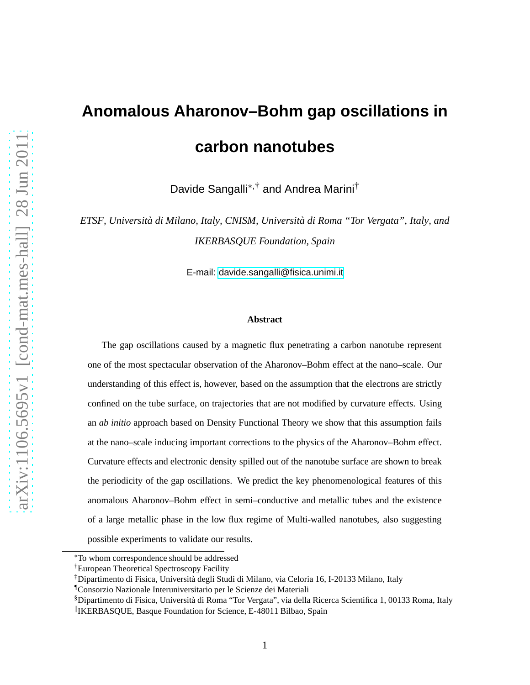## **Anomalous Aharonov–Bohm gap oscillations in carbon nanotubes**

Davide Sangalli∗,† and Andrea Marini†

*ETSF, Università di Milano, Italy, CNISM, Università di Roma "Tor Vergata", Italy, and IKERBASQUE Foundation, Spain*

E-mail:<davide.sangalli@fisica.unimi.it>

## **Abstract**

The gap oscillations caused by a magnetic flux penetrating a carbon nanotube represent one of the most spectacular observation of the Aharonov–Bohm effect at the nano–scale. Our understanding of this effect is, however, based on the assumption that the electrons are strictly confined on the tube surface, on trajectories that are not modified by curvature effects. Using an *ab initio* approach based on Density Functional Theory we show that this assumption fails at the nano–scale inducing important corrections to the physics of the Aharonov–Bohm effect. Curvature effects and electronic density spilled out of the nanotube surface are shown to break the periodicity of the gap oscillations. We predict the key phenomenological features of this anomalous Aharonov–Bohm effect in semi–conductive and metallic tubes and the existence of a large metallic phase in the low flux regime of Multi-walled nanotubes, also suggesting possible experiments to validate our results.

<sup>∗</sup>To whom correspondence should be addressed

<sup>†</sup>European Theoretical Spectroscopy Facility

<sup>‡</sup>Dipartimento di Fisica, Università degli Studi di Milano, via Celoria 16, I-20133 Milano, Italy

<sup>¶</sup>Consorzio Nazionale Interuniversitario per le Scienze dei Materiali

<sup>§</sup>Dipartimento di Fisica, Università di Roma "Tor Vergata", via della Ricerca Scientifica 1, 00133 Roma, Italy IKERBASQUE, Basque Foundation for Science, E-48011 Bilbao, Spain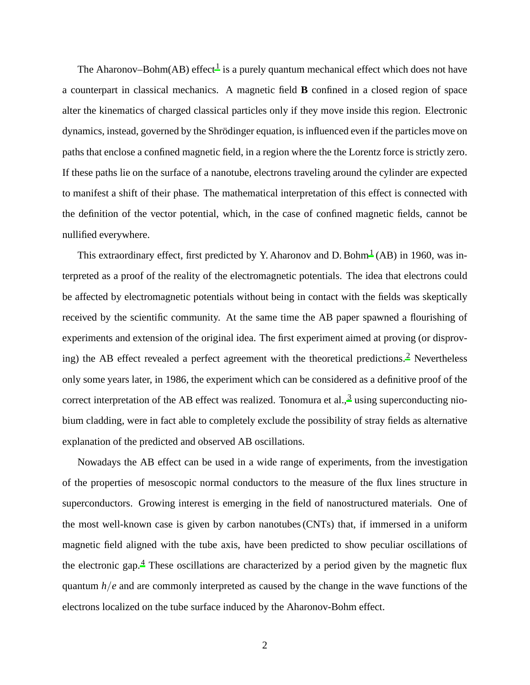The Aharonov–Bohm(AB) effect<sup>[1](#page-13-0)</sup> is a purely quantum mechanical effect which does not have a counterpart in classical mechanics. A magnetic field **B** confined in a closed region of space alter the kinematics of charged classical particles only if they move inside this region. Electronic dynamics, instead, governed by the Shrödinger equation, is influenced even if the particles move on paths that enclose a confined magnetic field, in a region where the the Lorentz force is strictly zero. If these paths lie on the surface of a nanotube, electrons traveling around the cylinder are expected to manifest a shift of their phase. The mathematical interpretation of this effect is connected with the definition of the vector potential, which, in the case of confined magnetic fields, cannot be nullified everywhere.

This extraordinary effect, first predicted by Y. Aharonov and D. Bohm<sup>[1](#page-13-0)</sup> (AB) in 1960, was interpreted as a proof of the reality of the electromagnetic potentials. The idea that electrons could be affected by electromagnetic potentials without being in contact with the fields was skeptically received by the scientific community. At the same time the AB paper spawned a flourishing of experiments and extension of the original idea. The first experiment aimed at proving (or disprov-ing) the AB effect revealed a perfect agreement with the theoretical predictions.<sup>[2](#page-13-1)</sup> Nevertheless only some years later, in 1986, the experiment which can be considered as a definitive proof of the correct interpretation of the AB effect was realized. Tonomura et al.,  $3$  using superconducting niobium cladding, were in fact able to completely exclude the possibility of stray fields as alternative explanation of the predicted and observed AB oscillations.

Nowadays the AB effect can be used in a wide range of experiments, from the investigation of the properties of mesoscopic normal conductors to the measure of the flux lines structure in superconductors. Growing interest is emerging in the field of nanostructured materials. One of the most well-known case is given by carbon nanotubes (CNTs) that, if immersed in a uniform magnetic field aligned with the tube axis, have been predicted to show peculiar oscillations of the electronic gap.<sup>[4](#page-13-3)</sup> These oscillations are characterized by a period given by the magnetic flux quantum *h*/*e* and are commonly interpreted as caused by the change in the wave functions of the electrons localized on the tube surface induced by the Aharonov-Bohm effect.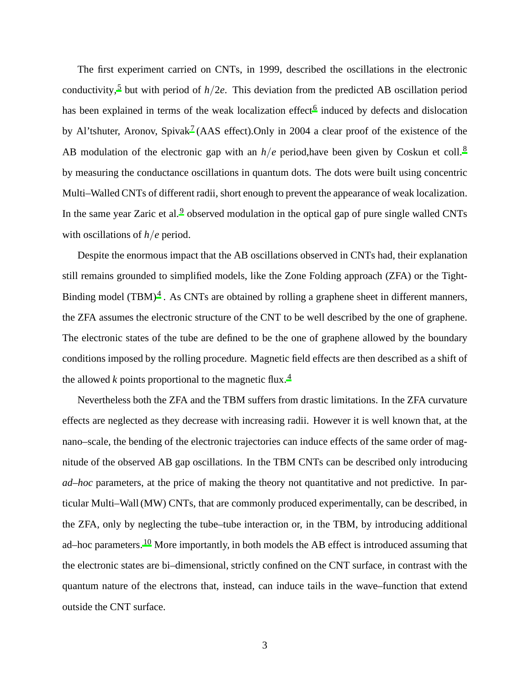The first experiment carried on CNTs, in 1999, described the oscillations in the electronic conductivity,<sup>[5](#page-13-4)</sup> but with period of  $h/2e$ . This deviation from the predicted AB oscillation period has been explained in terms of the weak localization effect<sup>[6](#page-13-5)</sup> induced by defects and dislocation by Al'tshuter, Aronov, Spivak<sup>[7](#page-13-6)</sup> (AAS effect). Only in 2004 a clear proof of the existence of the AB modulation of the electronic gap with an  $h/e$  period, have been given by Coskun et coll.<sup>[8](#page-13-7)</sup> by measuring the conductance oscillations in quantum dots. The dots were built using concentric Multi–Walled CNTs of different radii, short enough to prevent the appearance of weak localization. In the same year Zaric et al.<sup>[9](#page-13-8)</sup> observed modulation in the optical gap of pure single walled CNTs with oscillations of *h*/*e* period.

Despite the enormous impact that the AB oscillations observed in CNTs had, their explanation still remains grounded to simplified models, like the Zone Folding approach (ZFA) or the Tight-Binding model  $(TBM)^4$  $(TBM)^4$ . As CNTs are obtained by rolling a graphene sheet in different manners, the ZFA assumes the electronic structure of the CNT to be well described by the one of graphene. The electronic states of the tube are defined to be the one of graphene allowed by the boundary conditions imposed by the rolling procedure. Magnetic field effects are then described as a shift of the allowed  $k$  points proportional to the magnetic flux.<sup>[4](#page-13-3)</sup>

Nevertheless both the ZFA and the TBM suffers from drastic limitations. In the ZFA curvature effects are neglected as they decrease with increasing radii. However it is well known that, at the nano–scale, the bending of the electronic trajectories can induce effects of the same order of magnitude of the observed AB gap oscillations. In the TBM CNTs can be described only introducing *ad–hoc* parameters, at the price of making the theory not quantitative and not predictive. In particular Multi–Wall (MW) CNTs, that are commonly produced experimentally, can be described, in the ZFA, only by neglecting the tube–tube interaction or, in the TBM, by introducing additional ad–hoc parameters.<sup>[10](#page-13-9)</sup> More importantly, in both models the AB effect is introduced assuming that the electronic states are bi–dimensional, strictly confined on the CNT surface, in contrast with the quantum nature of the electrons that, instead, can induce tails in the wave–function that extend outside the CNT surface.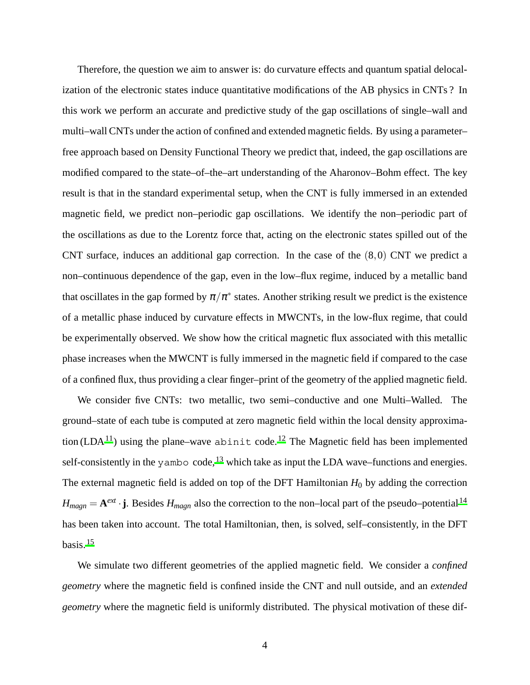Therefore, the question we aim to answer is: do curvature effects and quantum spatial delocalization of the electronic states induce quantitative modifications of the AB physics in CNTs ? In this work we perform an accurate and predictive study of the gap oscillations of single–wall and multi–wall CNTs under the action of confined and extended magnetic fields. By using a parameter– free approach based on Density Functional Theory we predict that, indeed, the gap oscillations are modified compared to the state–of–the–art understanding of the Aharonov–Bohm effect. The key result is that in the standard experimental setup, when the CNT is fully immersed in an extended magnetic field, we predict non–periodic gap oscillations. We identify the non–periodic part of the oscillations as due to the Lorentz force that, acting on the electronic states spilled out of the CNT surface, induces an additional gap correction. In the case of the  $(8,0)$  CNT we predict a non–continuous dependence of the gap, even in the low–flux regime, induced by a metallic band that oscillates in the gap formed by  $\pi/\pi^*$  states. Another striking result we predict is the existence of a metallic phase induced by curvature effects in MWCNTs, in the low-flux regime, that could be experimentally observed. We show how the critical magnetic flux associated with this metallic phase increases when the MWCNT is fully immersed in the magnetic field if compared to the case of a confined flux, thus providing a clear finger–print of the geometry of the applied magnetic field.

We consider five CNTs: two metallic, two semi–conductive and one Multi–Walled. The ground–state of each tube is computed at zero magnetic field within the local density approxima-tion (LDA<sup>[11](#page-13-10)</sup>) using the plane–wave abinit code.<sup>[12](#page-13-11)</sup> The Magnetic field has been implemented self-consistently in the yambo code,<sup>[13](#page-14-0)</sup> which take as input the LDA wave–functions and energies. The external magnetic field is added on top of the DFT Hamiltonian  $H_0$  by adding the correction  $H_{magn} = \mathbf{A}^{ext} \cdot \mathbf{j}$ . Besides  $H_{magn}$  also the correction to the non–local part of the pseudo–potential<sup>[14](#page-14-1)</sup> has been taken into account. The total Hamiltonian, then, is solved, self–consistently, in the DFT basis. $15$ 

We simulate two different geometries of the applied magnetic field. We consider a *confined geometry* where the magnetic field is confined inside the CNT and null outside, and an *extended geometry* where the magnetic field is uniformly distributed. The physical motivation of these dif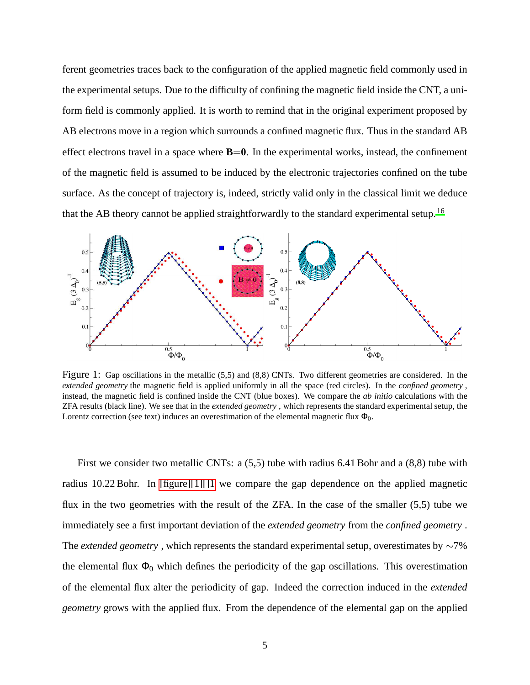ferent geometries traces back to the configuration of the applied magnetic field commonly used in the experimental setups. Due to the difficulty of confining the magnetic field inside the CNT, a uniform field is commonly applied. It is worth to remind that in the original experiment proposed by AB electrons move in a region which surrounds a confined magnetic flux. Thus in the standard AB effect electrons travel in a space where  $B=0$ . In the experimental works, instead, the confinement of the magnetic field is assumed to be induced by the electronic trajectories confined on the tube surface. As the concept of trajectory is, indeed, strictly valid only in the classical limit we deduce that the AB theory cannot be applied straightforwardly to the standard experimental setup.<sup>[16](#page-14-3)</sup>

<span id="page-4-0"></span>

Figure 1: Gap oscillations in the metallic (5,5) and (8,8) CNTs. Two different geometries are considered. In the *extended geometry* the magnetic field is applied uniformly in all the space (red circles). In the *confined geometry* , instead, the magnetic field is confined inside the CNT (blue boxes). We compare the *ab initio* calculations with the ZFA results (black line). We see that in the *extended geometry* , which represents the standard experimental setup, the Lorentz correction (see text) induces an overestimation of the elemental magnetic flux  $\Phi_0$ .

First we consider two metallic CNTs: a (5,5) tube with radius 6.41 Bohr and a (8,8) tube with radius 10.22 Bohr. In [\[figure\]\[1\]\[\]1](#page-4-0) we compare the gap dependence on the applied magnetic flux in the two geometries with the result of the ZFA. In the case of the smaller (5,5) tube we immediately see a first important deviation of the *extended geometry* from the *confined geometry* . The *extended geometry* , which represents the standard experimental setup, overestimates by ∼7% the elemental flux  $\Phi_0$  which defines the periodicity of the gap oscillations. This overestimation of the elemental flux alter the periodicity of gap. Indeed the correction induced in the *extended geometry* grows with the applied flux. From the dependence of the elemental gap on the applied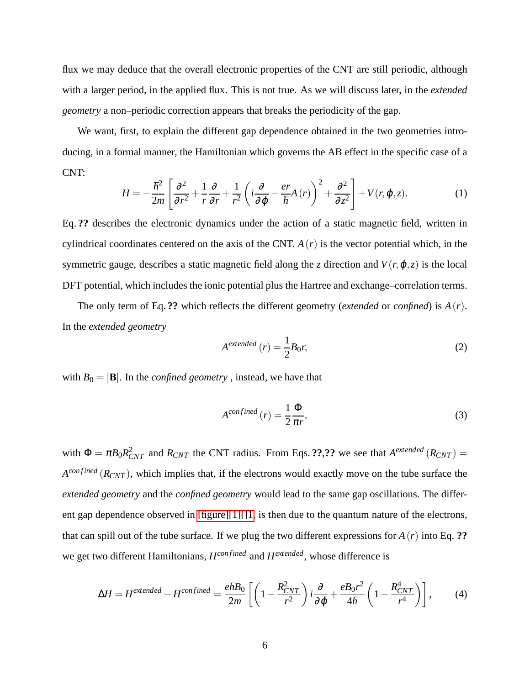flux we may deduce that the overall electronic properties of the CNT are still periodic, although with a larger period, in the applied flux. This is not true. As we will discuss later, in the *extended geometry* a non–periodic correction appears that breaks the periodicity of the gap.

We want, first, to explain the different gap dependence obtained in the two geometries introducing, in a formal manner, the Hamiltonian which governs the AB effect in the specific case of a CNT:

$$
H = -\frac{\hbar^2}{2m} \left[ \frac{\partial^2}{\partial r^2} + \frac{1}{r} \frac{\partial}{\partial r} + \frac{1}{r^2} \left( i \frac{\partial}{\partial \varphi} - \frac{er}{\hbar} A(r) \right)^2 + \frac{\partial^2}{\partial z^2} \right] + V(r, \varphi, z).
$$
 (1)

Eq. **??** describes the electronic dynamics under the action of a static magnetic field, written in cylindrical coordinates centered on the axis of the CNT.  $A(r)$  is the vector potential which, in the symmetric gauge, describes a static magnetic field along the *z* direction and  $V(r, \varphi, z)$  is the local DFT potential, which includes the ionic potential plus the Hartree and exchange–correlation terms.

The only term of Eq. **??** which reflects the different geometry (*extended* or *confined*) is *A*(*r*). In the *extended geometry*

$$
Aextended (r) = \frac{1}{2}B_0r,
$$
\n(2)

with  $B_0 = |\mathbf{B}|$ . In the *confined geometry*, instead, we have that

$$
A^{confined}(r) = \frac{1}{2} \frac{\Phi}{\pi r},\tag{3}
$$

with  $\Phi = \pi B_0 R_{CNT}^2$  and  $R_{CNT}$  the CNT radius. From Eqs. **??**,?? we see that  $A^{extended}(R_{CNT}) =$ *A*<sup>confined</sup> ( $R_{CNT}$ ), which implies that, if the electrons would exactly move on the tube surface the *extended geometry* and the *confined geometry* would lead to the same gap oscillations. The different gap dependence observed in [figure][1][1], is then due to the quantum nature of the electrons, that can spill out of the tube surface. If we plug the two different expressions for *A*(*r*) into Eq. **??** we get two different Hamiltonians,  $H^{confined}$  and  $H^{extended}$ , whose difference is

$$
\Delta H = H^{extended} - H^{confined} = \frac{e\hbar B_0}{2m} \left[ \left( 1 - \frac{R_{CNT}^2}{r^2} \right) i \frac{\partial}{\partial \varphi} + \frac{eB_0 r^2}{4\hbar} \left( 1 - \frac{R_{CNT}^4}{r^4} \right) \right],\tag{4}
$$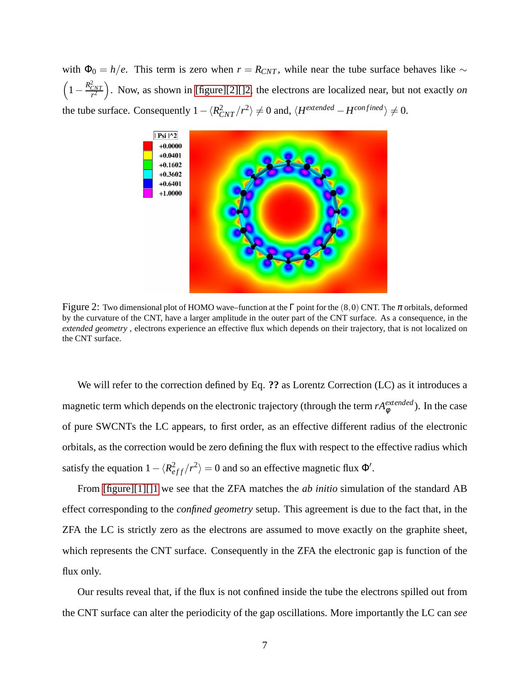<span id="page-6-0"></span>with  $\Phi_0 = h/e$ . This term is zero when  $r = R_{CNT}$ , while near the tube surface behaves like  $\sim$  $\left(1 - \frac{R_{CNT}^2}{r^2}\right)$ . Now, as shown in [\[figure\]\[2\]\[\]2,](#page-6-0) the electrons are localized near, but not exactly *on* the tube surface. Consequently  $1 - \langle R_{CNT}^2 / r^2 \rangle \neq 0$  and,  $\langle H^{extended} - H^{confined} \rangle \neq 0$ .



Figure 2: Two dimensional plot of HOMO wave–function at the  $\Gamma$  point for the (8,0) CNT. The  $\pi$  orbitals, deformed by the curvature of the CNT, have a larger amplitude in the outer part of the CNT surface. As a consequence, in the *extended geometry* , electrons experience an effective flux which depends on their trajectory, that is not localized on the CNT surface.

We will refer to the correction defined by Eq. **??** as Lorentz Correction (LC) as it introduces a magnetic term which depends on the electronic trajectory (through the term  $rA_{\phi}^{extended}$ ). In the case of pure SWCNTs the LC appears, to first order, as an effective different radius of the electronic orbitals, as the correction would be zero defining the flux with respect to the effective radius which satisfy the equation  $1 - \langle R_{eff}^2 / r^2 \rangle = 0$  and so an effective magnetic flux  $\Phi'$ .

From [\[figure\]\[1\]\[\]1](#page-4-0) we see that the ZFA matches the *ab initio* simulation of the standard AB effect corresponding to the *confined geometry* setup. This agreement is due to the fact that, in the ZFA the LC is strictly zero as the electrons are assumed to move exactly on the graphite sheet, which represents the CNT surface. Consequently in the ZFA the electronic gap is function of the flux only.

Our results reveal that, if the flux is not confined inside the tube the electrons spilled out from the CNT surface can alter the periodicity of the gap oscillations. More importantly the LC can *see*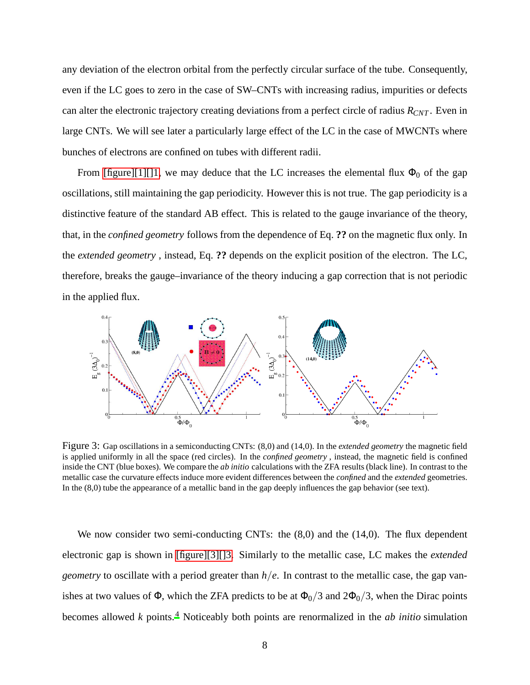any deviation of the electron orbital from the perfectly circular surface of the tube. Consequently, even if the LC goes to zero in the case of SW–CNTs with increasing radius, impurities or defects can alter the electronic trajectory creating deviations from a perfect circle of radius *RCNT* . Even in large CNTs. We will see later a particularly large effect of the LC in the case of MWCNTs where bunches of electrons are confined on tubes with different radii.

From [\[figure\]\[1\]\[\]1,](#page-4-0) we may deduce that the LC increases the elemental flux  $\Phi_0$  of the gap oscillations, still maintaining the gap periodicity. However this is not true. The gap periodicity is a distinctive feature of the standard AB effect. This is related to the gauge invariance of the theory, that, in the *confined geometry* follows from the dependence of Eq. **??** on the magnetic flux only. In the *extended geometry* , instead, Eq. **??** depends on the explicit position of the electron. The LC, therefore, breaks the gauge–invariance of the theory inducing a gap correction that is not periodic in the applied flux.

<span id="page-7-0"></span>

Figure 3: Gap oscillations in a semiconducting CNTs: (8,0) and (14,0). In the *extended geometry* the magnetic field is applied uniformly in all the space (red circles). In the *confined geometry* , instead, the magnetic field is confined inside the CNT (blue boxes). We compare the *ab initio* calculations with the ZFA results (black line). In contrast to the metallic case the curvature effects induce more evident differences between the *confined* and the *extended* geometries. In the (8,0) tube the appearance of a metallic band in the gap deeply influences the gap behavior (see text).

We now consider two semi-conducting CNTs: the  $(8,0)$  and the  $(14,0)$ . The flux dependent electronic gap is shown in [\[figure\]\[3\]\[\]3.](#page-7-0) Similarly to the metallic case, LC makes the *extended geometry* to oscillate with a period greater than *h*/*e*. In contrast to the metallic case, the gap vanishes at two values of  $\Phi$ , which the ZFA predicts to be at  $\Phi_0/3$  and  $2\Phi_0/3$ , when the Dirac points becomes allowed *k* points.[4](#page-13-3) Noticeably both points are renormalized in the *ab initio* simulation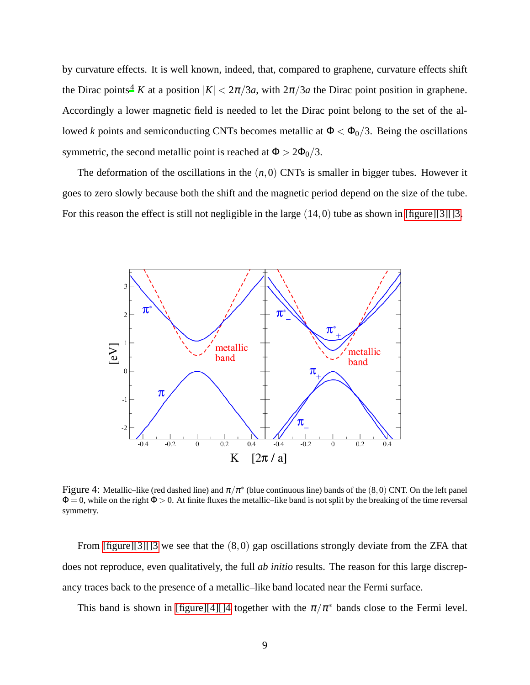by curvature effects. It is well known, indeed, that, compared to graphene, curvature effects shift the Dirac points<sup>[4](#page-13-3)</sup> *K* at a position  $|K| < 2\pi/3a$ , with  $2\pi/3a$  the Dirac point position in graphene. Accordingly a lower magnetic field is needed to let the Dirac point belong to the set of the allowed *k* points and semiconducting CNTs becomes metallic at  $\Phi < \Phi_0/3$ . Being the oscillations symmetric, the second metallic point is reached at  $\Phi > 2\Phi_0/3$ .

<span id="page-8-0"></span>The deformation of the oscillations in the  $(n,0)$  CNTs is smaller in bigger tubes. However it goes to zero slowly because both the shift and the magnetic period depend on the size of the tube. For this reason the effect is still not negligible in the large  $(14,0)$  tube as shown in [\[figure\]\[3\]\[\]3.](#page-7-0)



Figure 4: Metallic–like (red dashed line) and  $\pi/\pi^*$  (blue continuous line) bands of the (8,0) CNT. On the left panel  $\Phi = 0$ , while on the right  $\Phi > 0$ . At finite fluxes the metallic–like band is not split by the breaking of the time reversal symmetry.

From  $[\text{figure}][3][3]$  we see that the  $(8,0)$  gap oscillations strongly deviate from the ZFA that does not reproduce, even qualitatively, the full *ab initio* results. The reason for this large discrepancy traces back to the presence of a metallic–like band located near the Fermi surface.

This band is shown in [\[figure\]\[4\]\[\]4](#page-8-0) together with the  $\pi/\pi^*$  bands close to the Fermi level.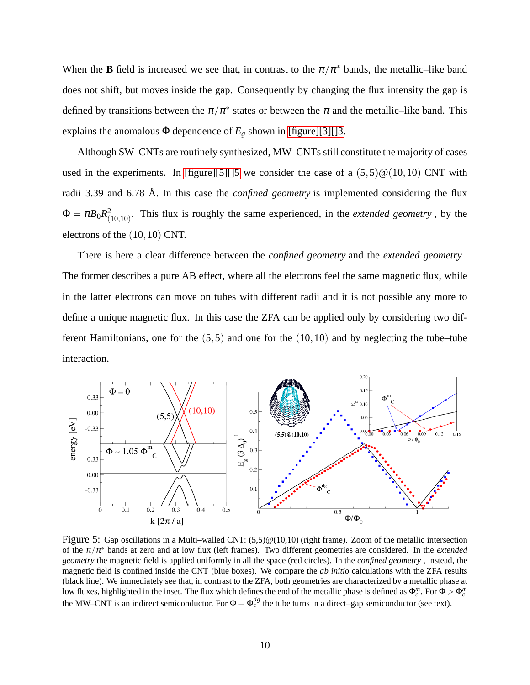When the **B** field is increased we see that, in contrast to the  $\pi/\pi^*$  bands, the metallic–like band does not shift, but moves inside the gap. Consequently by changing the flux intensity the gap is defined by transitions between the  $\pi/\pi^*$  states or between the  $\pi$  and the metallic–like band. This explains the anomalous  $\Phi$  dependence of  $E_g$  shown in [\[figure\]\[3\]\[\]3.](#page-7-0)

Although SW–CNTs are routinely synthesized, MW–CNTs still constitute the majority of cases used in the experiments. In [\[figure\]\[5\]\[\]5](#page-9-0) we consider the case of a  $(5,5)@(10,10)$  CNT with radii 3.39 and 6.78 Å. In this case the *confined geometry* is implemented considering the flux  $\Phi = \pi B_0 R_\text{\tiny C}^2$  $^{2}_{(10,10)}$ . This flux is roughly the same experienced, in the *extended geometry*, by the electrons of the (10,10) CNT.

There is here a clear difference between the *confined geometry* and the *extended geometry* . The former describes a pure AB effect, where all the electrons feel the same magnetic flux, while in the latter electrons can move on tubes with different radii and it is not possible any more to define a unique magnetic flux. In this case the ZFA can be applied only by considering two different Hamiltonians, one for the  $(5,5)$  and one for the  $(10,10)$  and by neglecting the tube–tube interaction.

<span id="page-9-0"></span>

Figure 5: Gap oscillations in a Multi–walled CNT:  $(5,5)@(10,10)$  (right frame). Zoom of the metallic intersection of the  $\pi/\pi^*$  bands at zero and at low flux (left frames). Two different geometries are considered. In the *extended geometry* the magnetic field is applied uniformly in all the space (red circles). In the *confined geometry* , instead, the magnetic field is confined inside the CNT (blue boxes). We compare the *ab initio* calculations with the ZFA results (black line). We immediately see that, in contrast to the ZFA, both geometries are characterized by a metallic phase at low fluxes, highlighted in the inset. The flux which defines the end of the metallic phase is defined as  $\Phi_c^m$ . For  $\Phi > \Phi_c^m$ the MW–CNT is an indirect semiconductor. For  $\Phi = \Phi_c^{dg}$  the tube turns in a direct–gap semiconductor (see text).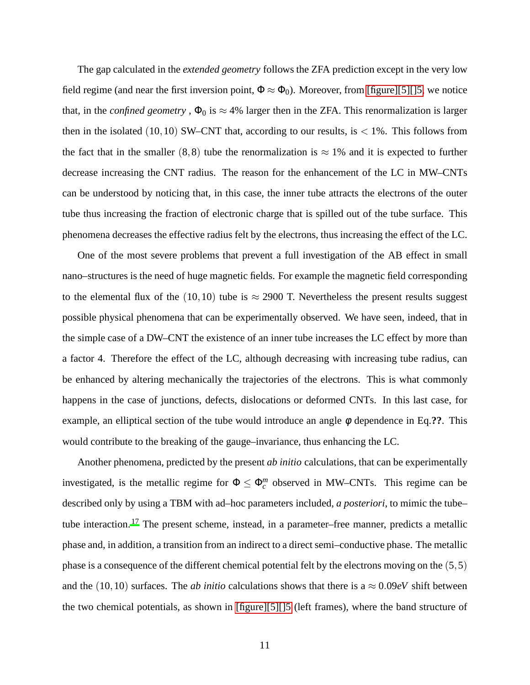The gap calculated in the *extended geometry* follows the ZFA prediction except in the very low field regime (and near the first inversion point,  $\Phi \approx \Phi_0$ ). Moreover, from [\[figure\]\[5\]\[\]5,](#page-9-0) we notice that, in the *confined geometry*,  $\Phi_0$  is  $\approx 4\%$  larger then in the ZFA. This renormalization is larger then in the isolated  $(10,10)$  SW–CNT that, according to our results, is  $< 1\%$ . This follows from the fact that in the smaller (8,8) tube the renormalization is  $\approx 1\%$  and it is expected to further decrease increasing the CNT radius. The reason for the enhancement of the LC in MW–CNTs can be understood by noticing that, in this case, the inner tube attracts the electrons of the outer tube thus increasing the fraction of electronic charge that is spilled out of the tube surface. This phenomena decreases the effective radius felt by the electrons, thus increasing the effect of the LC.

One of the most severe problems that prevent a full investigation of the AB effect in small nano–structures is the need of huge magnetic fields. For example the magnetic field corresponding to the elemental flux of the (10,10) tube is  $\approx$  2900 T. Nevertheless the present results suggest possible physical phenomena that can be experimentally observed. We have seen, indeed, that in the simple case of a DW–CNT the existence of an inner tube increases the LC effect by more than a factor 4. Therefore the effect of the LC, although decreasing with increasing tube radius, can be enhanced by altering mechanically the trajectories of the electrons. This is what commonly happens in the case of junctions, defects, dislocations or deformed CNTs. In this last case, for example, an elliptical section of the tube would introduce an angle φ dependence in Eq.**??**. This would contribute to the breaking of the gauge–invariance, thus enhancing the LC.

Another phenomena, predicted by the present *ab initio* calculations, that can be experimentally investigated, is the metallic regime for  $\Phi \leq \Phi_c^m$  observed in MW–CNTs. This regime can be described only by using a TBM with ad–hoc parameters included, *a posteriori*, to mimic the tube– tube interaction.<sup>[17](#page-14-4)</sup> The present scheme, instead, in a parameter–free manner, predicts a metallic phase and, in addition, a transition from an indirect to a direct semi–conductive phase. The metallic phase is a consequence of the different chemical potential felt by the electrons moving on the (5,5) and the (10,10) surfaces. The *ab initio* calculations shows that there is a  $\approx 0.09eV$  shift between the two chemical potentials, as shown in [\[figure\]\[5\]\[\]5](#page-9-0) (left frames), where the band structure of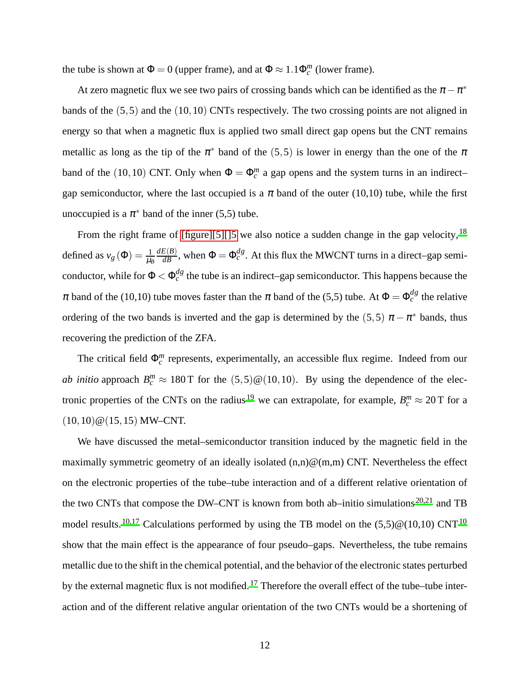the tube is shown at  $\Phi = 0$  (upper frame), and at  $\Phi \approx 1.1 \Phi_c^m$  (lower frame).

At zero magnetic flux we see two pairs of crossing bands which can be identified as the  $\pi - \pi^*$ bands of the (5,5) and the (10,10) CNTs respectively. The two crossing points are not aligned in energy so that when a magnetic flux is applied two small direct gap opens but the CNT remains metallic as long as the tip of the  $\pi^*$  band of the (5,5) is lower in energy than the one of the  $\pi$ band of the (10,10) CNT. Only when  $\Phi = \Phi_c^m$  a gap opens and the system turns in an indirectgap semiconductor, where the last occupied is a  $\pi$  band of the outer (10,10) tube, while the first unoccupied is a  $\pi^*$  band of the inner (5,5) tube.

From the right frame of [\[figure\]\[5\]\[\]5](#page-9-0) we also notice a sudden change in the gap velocity,  $^{18}$  $^{18}$  $^{18}$ defined as  $v_g(\Phi) = \frac{1}{\mu_B}$  $\frac{dE(B)}{dB}$ , when  $\Phi = \Phi_c^{dg}$ . At this flux the MWCNT turns in a direct–gap semiconductor, while for  $\Phi < \Phi_c^{dg}$  the tube is an indirect–gap semiconductor. This happens because the  $\pi$  band of the (10,10) tube moves faster than the  $\pi$  band of the (5,5) tube. At  $\Phi = \Phi_c^{dg}$  the relative ordering of the two bands is inverted and the gap is determined by the (5,5)  $\pi - \pi^*$  bands, thus recovering the prediction of the ZFA.

The critical field  $\Phi_c^m$  represents, experimentally, an accessible flux regime. Indeed from our *ab initio* approach  $B_c^m \approx 180$  T for the  $(5,5)$  @ $(10,10)$ . By using the dependence of the elec-tronic properties of the CNTs on the radius<sup>[19](#page-14-6)</sup> we can extrapolate, for example,  $B_c^m \approx 20 \text{ T}$  for a  $(10,10)$  @  $(15,15)$  MW-CNT.

We have discussed the metal–semiconductor transition induced by the magnetic field in the maximally symmetric geometry of an ideally isolated  $(n,n)@(m,m)$  CNT. Nevertheless the effect on the electronic properties of the tube–tube interaction and of a different relative orientation of the two CNTs that compose the DW–CNT is known from both ab–initio simulations<sup>[20](#page-14-7)[,21](#page-15-0)</sup> and TB model results.<sup>[10](#page-13-9)[,17](#page-14-4)</sup> Calculations performed by using the TB model on the  $(5,5)@(10,10)$  CNT<sup>10</sup> show that the main effect is the appearance of four pseudo–gaps. Nevertheless, the tube remains metallic due to the shift in the chemical potential, and the behavior of the electronic states perturbed by the external magnetic flux is not modified.<sup>[17](#page-14-4)</sup> Therefore the overall effect of the tube–tube interaction and of the different relative angular orientation of the two CNTs would be a shortening of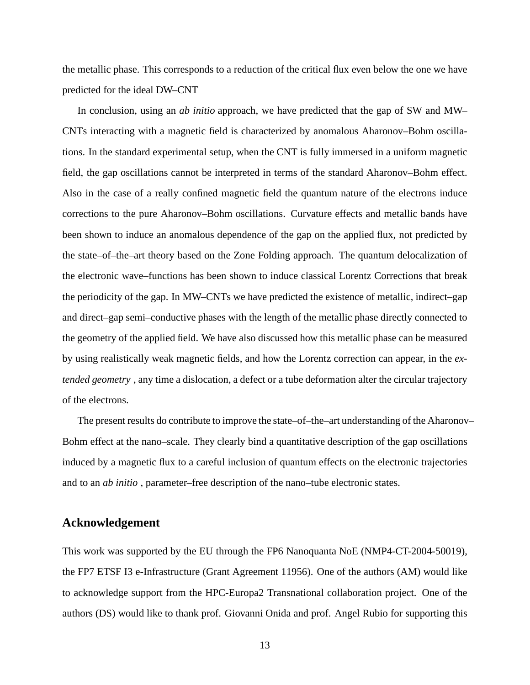the metallic phase. This corresponds to a reduction of the critical flux even below the one we have predicted for the ideal DW–CNT

In conclusion, using an *ab initio* approach, we have predicted that the gap of SW and MW– CNTs interacting with a magnetic field is characterized by anomalous Aharonov–Bohm oscillations. In the standard experimental setup, when the CNT is fully immersed in a uniform magnetic field, the gap oscillations cannot be interpreted in terms of the standard Aharonov–Bohm effect. Also in the case of a really confined magnetic field the quantum nature of the electrons induce corrections to the pure Aharonov–Bohm oscillations. Curvature effects and metallic bands have been shown to induce an anomalous dependence of the gap on the applied flux, not predicted by the state–of–the–art theory based on the Zone Folding approach. The quantum delocalization of the electronic wave–functions has been shown to induce classical Lorentz Corrections that break the periodicity of the gap. In MW–CNTs we have predicted the existence of metallic, indirect–gap and direct–gap semi–conductive phases with the length of the metallic phase directly connected to the geometry of the applied field. We have also discussed how this metallic phase can be measured by using realistically weak magnetic fields, and how the Lorentz correction can appear, in the *extended geometry* , any time a dislocation, a defect or a tube deformation alter the circular trajectory of the electrons.

The present results do contribute to improve the state–of–the–art understanding of the Aharonov– Bohm effect at the nano–scale. They clearly bind a quantitative description of the gap oscillations induced by a magnetic flux to a careful inclusion of quantum effects on the electronic trajectories and to an *ab initio* , parameter–free description of the nano–tube electronic states.

## **Acknowledgement**

This work was supported by the EU through the FP6 Nanoquanta NoE (NMP4-CT-2004-50019), the FP7 ETSF I3 e-Infrastructure (Grant Agreement 11956). One of the authors (AM) would like to acknowledge support from the HPC-Europa2 Transnational collaboration project. One of the authors (DS) would like to thank prof. Giovanni Onida and prof. Angel Rubio for supporting this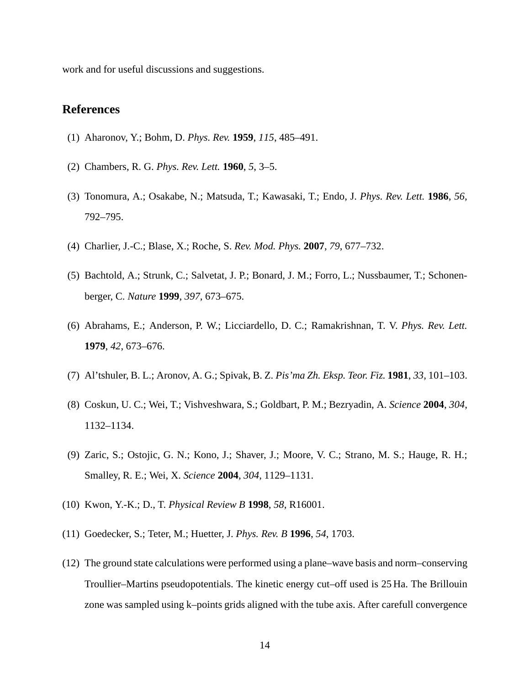work and for useful discussions and suggestions.

## **References**

- <span id="page-13-0"></span>(1) Aharonov, Y.; Bohm, D. *Phys. Rev.* **1959**, *115*, 485–491.
- <span id="page-13-1"></span>(2) Chambers, R. G. *Phys. Rev. Lett.* **1960**, *5*, 3–5.
- <span id="page-13-2"></span>(3) Tonomura, A.; Osakabe, N.; Matsuda, T.; Kawasaki, T.; Endo, J. *Phys. Rev. Lett.* **1986**, *56*, 792–795.
- <span id="page-13-3"></span>(4) Charlier, J.-C.; Blase, X.; Roche, S. *Rev. Mod. Phys.* **2007**, *79*, 677–732.
- <span id="page-13-4"></span>(5) Bachtold, A.; Strunk, C.; Salvetat, J. P.; Bonard, J. M.; Forro, L.; Nussbaumer, T.; Schonenberger, C. *Nature* **1999**, *397*, 673–675.
- <span id="page-13-5"></span>(6) Abrahams, E.; Anderson, P. W.; Licciardello, D. C.; Ramakrishnan, T. V. *Phys. Rev. Lett.* **1979**, *42*, 673–676.
- <span id="page-13-6"></span>(7) Al'tshuler, B. L.; Aronov, A. G.; Spivak, B. Z. *Pis'ma Zh. Eksp. Teor. Fiz.* **1981**, *33*, 101–103.
- <span id="page-13-7"></span>(8) Coskun, U. C.; Wei, T.; Vishveshwara, S.; Goldbart, P. M.; Bezryadin, A. *Science* **2004**, *304*, 1132–1134.
- <span id="page-13-8"></span>(9) Zaric, S.; Ostojic, G. N.; Kono, J.; Shaver, J.; Moore, V. C.; Strano, M. S.; Hauge, R. H.; Smalley, R. E.; Wei, X. *Science* **2004**, *304*, 1129–1131.
- <span id="page-13-9"></span>(10) Kwon, Y.-K.; D., T. *Physical Review B* **1998**, *58*, R16001.
- <span id="page-13-10"></span>(11) Goedecker, S.; Teter, M.; Huetter, J. *Phys. Rev. B* **1996**, *54*, 1703.
- <span id="page-13-11"></span>(12) The ground state calculations were performed using a plane–wave basis and norm–conserving Troullier–Martins pseudopotentials. The kinetic energy cut–off used is 25 Ha. The Brillouin zone was sampled using k–points grids aligned with the tube axis. After carefull convergence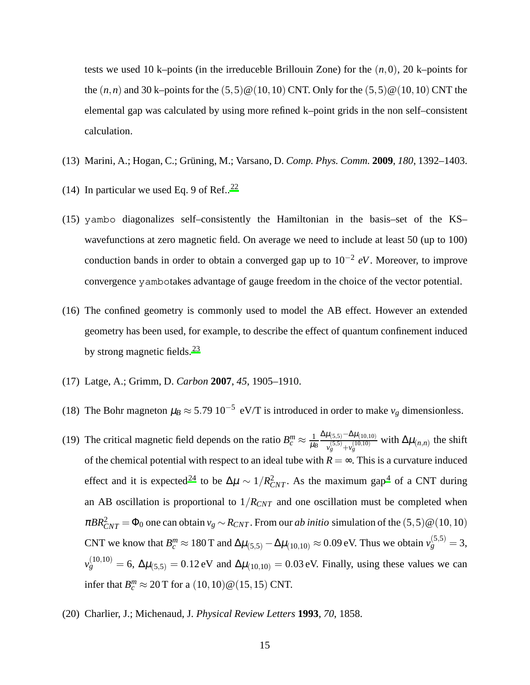tests we used 10 k–points (in the irreduceble Brillouin Zone) for the (*n*,0), 20 k–points for the  $(n, n)$  and 30 k–points for the  $(5, 5) \& (10, 10)$  CNT. Only for the  $(5, 5) \& (10, 10)$  CNT the elemental gap was calculated by using more refined k–point grids in the non self–consistent calculation.

- <span id="page-14-0"></span>(13) Marini, A.; Hogan, C.; Grüning, M.; Varsano, D. *Comp. Phys. Comm.* **2009**, *180*, 1392–1403.
- <span id="page-14-1"></span>(14) In particular we used Eq. 9 of Ref..<sup>[22](#page-15-1)</sup>
- <span id="page-14-2"></span>(15) yambo diagonalizes self–consistently the Hamiltonian in the basis–set of the KS– wavefunctions at zero magnetic field. On average we need to include at least 50 (up to 100) conduction bands in order to obtain a converged gap up to 10−<sup>2</sup> *eV*. Moreover, to improve convergence yambotakes advantage of gauge freedom in the choice of the vector potential.
- <span id="page-14-3"></span>(16) The confined geometry is commonly used to model the AB effect. However an extended geometry has been used, for example, to describe the effect of quantum confinement induced by strong magnetic fields.<sup>[23](#page-15-2)</sup>
- <span id="page-14-4"></span>(17) Latge, A.; Grimm, D. *Carbon* **2007**, *45*, 1905–1910.
- <span id="page-14-5"></span>(18) The Bohr magneton  $\mu_B \approx 5.79 \, 10^{-5} \, \text{eV/T}$  is introduced in order to make  $v_g$  dimensionless.
- <span id="page-14-6"></span>(19) The critical magnetic field depends on the ratio  $B_c^m \approx \frac{1}{\mu_l}$ µ*B*  $\Delta \mu_{(5,5)}-\Delta \mu_{(10,10)}$  $\frac{\mu(5,5)}{\nu_g^{(5,5)} + \nu_g^{(10,10)}}$  with  $\Delta \mu_{(n,n)}$  the shift of the chemical potential with respect to an ideal tube with  $R = \infty$ . This is a curvature induced effect and it is expected<sup>[24](#page-15-3)</sup> to be  $\Delta \mu \sim 1/R_{CNT}^2$ . As the maximum gap<sup>[4](#page-13-3)</sup> of a CNT during an AB oscillation is proportional to  $1/R_{CNT}$  and one oscillation must be completed when  $\pi BR_{CNT}^2 = \Phi_0$  one can obtain  $v_g \sim R_{CNT}$ . From our *ab initio* simulation of the  $(5,5) \mathcal{Q}(10,10)$ CNT we know that  $B_c^m \approx 180 \text{ T}$  and  $\Delta \mu_{(5,5)} - \Delta \mu_{(10,10)} \approx 0.09 \text{ eV}$ . Thus we obtain  $v_g^{(5,5)} = 3$ ,  $v_g^{(10,10)} = 6$ ,  $\Delta \mu_{(5,5)} = 0.12$  eV and  $\Delta \mu_{(10,10)} = 0.03$  eV. Finally, using these values we can infer that  $B_c^m \approx 20 \text{ T}$  for a  $(10, 10) \text{ @ } (15, 15) \text{ CNT}$ .
- <span id="page-14-7"></span>(20) Charlier, J.; Michenaud, J. *Physical Review Letters* **1993**, *70*, 1858.